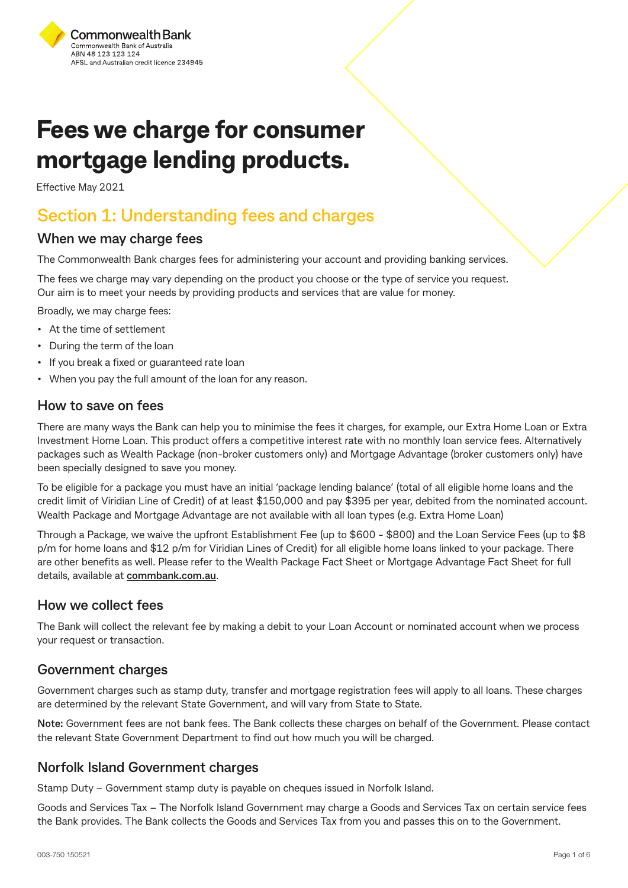

# **Fees we charge for consumer mortgage lending products.**

Effective May 2021

### **Section 1: Understanding fees and charges**

#### **When we may charge fees**

The Commonwealth Bank charges fees for administering your account and providing banking services.

The fees we charge may vary depending on the product you choose or the type of service you request. Our aim is to meet your needs by providing products and services that are value for money.

Broadly, we may charge fees:

- At the time of settlement
- During the term of the loan
- If you break a fixed or guaranteed rate loan
- When you pay the full amount of the loan for any reason.

#### **How to save on fees**

There are many ways the Bank can help you to minimise the fees it charges, for example, our Extra Home Loan or Extra Investment Home Loan. This product offers a competitive interest rate with no monthly loan service fees. Alternatively packages such as Wealth Package (non-broker customers only) and Mortgage Advantage (broker customers only) have been specially designed to save you money.

To be eligible for a package you must have an initial 'package lending balance' (total of all eligible home loans and the credit limit of Viridian Line of Credit) of at least \$150,000 and pay \$395 per year, debited from the nominated account. Wealth Package and Mortgage Advantage are not available with all loan types (e.g. Extra Home Loan)

Through a Package, we waive the upfront Establishment Fee (up to \$600 - \$800) and the Loan Service Fees (up to \$8 p/m for home loans and \$12 p/m for Viridian Lines of Credit) for all eligible home loans linked to your package. There are other benefits as well. Please refer to the Wealth Package Fact Sheet or Mortgage Advantage Fact Sheet for full details, available at **[commbank.com.au](https://www.commbank.com.au/)**.

#### **How we collect fees**

The Bank will collect the relevant fee by making a debit to your Loan Account or nominated account when we process your request or transaction.

#### **Government charges**

Government charges such as stamp duty, transfer and mortgage registration fees will apply to all loans. These charges are determined by the relevant State Government, and will vary from State to State.

**Note:** Government fees are not bank fees. The Bank collects these charges on behalf of the Government. Please contact the relevant State Government Department to find out how much you will be charged.

#### **Norfolk Island Government charges**

Stamp Duty – Government stamp duty is payable on cheques issued in Norfolk Island.

Goods and Services Tax – The Norfolk Island Government may charge a Goods and Services Tax on certain service fees the Bank provides. The Bank collects the Goods and Services Tax from you and passes this on to the Government.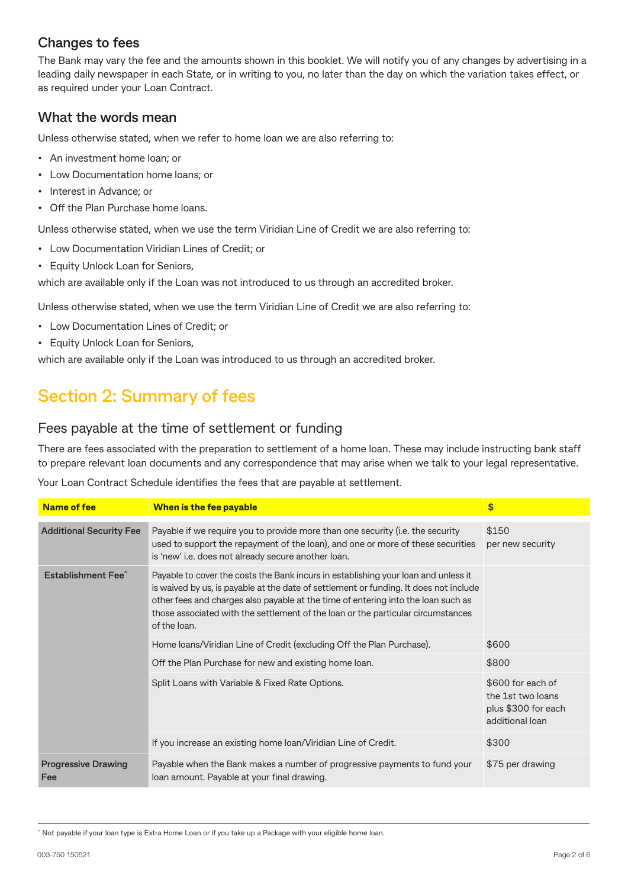#### **Changes to fees**

The Bank may vary the fee and the amounts shown in this booklet. We will notify you of any changes by advertising in a leading daily newspaper in each State, or in writing to you, no later than the day on which the variation takes effect, or as required under your Loan Contract.

#### **What the words mean**

Unless otherwise stated, when we refer to home loan we are also referring to:

- An investment home loan; or
- Low Documentation home loans; or
- Interest in Advance; or
- Off the Plan Purchase home loans.

Unless otherwise stated, when we use the term Viridian Line of Credit we are also referring to:

- Low Documentation Viridian Lines of Credit; or
- Equity Unlock Loan for Seniors,

which are available only if the Loan was not introduced to us through an accredited broker.

Unless otherwise stated, when we use the term Viridian Line of Credit we are also referring to:

- Low Documentation Lines of Credit; or
- Equity Unlock Loan for Seniors,

which are available only if the Loan was introduced to us through an accredited broker.

## **Section 2: Summary of fees**

#### Fees payable at the time of settlement or funding

There are fees associated with the preparation to settlement of a home loan. These may include instructing bank staff to prepare relevant loan documents and any correspondence that may arise when we talk to your legal representative.

Your Loan Contract Schedule identifies the fees that are payable at settlement.

| <b>Name of fee</b>                | When is the fee payable                                                                                                                                                                                                                                                                                                                                              | \$                                                                               |
|-----------------------------------|----------------------------------------------------------------------------------------------------------------------------------------------------------------------------------------------------------------------------------------------------------------------------------------------------------------------------------------------------------------------|----------------------------------------------------------------------------------|
| <b>Additional Security Fee</b>    | Payable if we require you to provide more than one security (i.e. the security<br>used to support the repayment of the loan), and one or more of these securities<br>is 'new' i.e. does not already secure another loan.                                                                                                                                             | \$150<br>per new security                                                        |
| Establishment Fee <sup>^</sup>    | Payable to cover the costs the Bank incurs in establishing your loan and unless it<br>is waived by us, is payable at the date of settlement or funding. It does not include<br>other fees and charges also payable at the time of entering into the loan such as<br>those associated with the settlement of the loan or the particular circumstances<br>of the loan. |                                                                                  |
|                                   | Home Ioans/Viridian Line of Credit (excluding Off the Plan Purchase).                                                                                                                                                                                                                                                                                                | \$600                                                                            |
|                                   | Off the Plan Purchase for new and existing home loan.                                                                                                                                                                                                                                                                                                                | \$800                                                                            |
|                                   | Split Loans with Variable & Fixed Rate Options.                                                                                                                                                                                                                                                                                                                      | \$600 for each of<br>the 1st two loans<br>plus \$300 for each<br>additional loan |
|                                   | If you increase an existing home loan/Viridian Line of Credit.                                                                                                                                                                                                                                                                                                       | \$300                                                                            |
| <b>Progressive Drawing</b><br>Fee | Payable when the Bank makes a number of progressive payments to fund your<br>loan amount. Payable at your final drawing.                                                                                                                                                                                                                                             | \$75 per drawing                                                                 |

^ Not payable if your loan type is Extra Home Loan or if you take up a Package with your eligible home loan.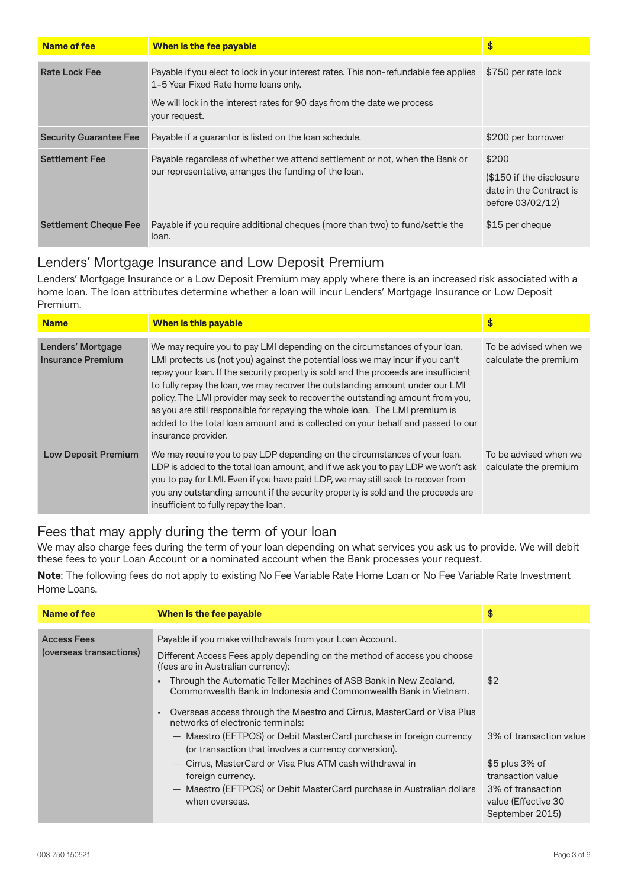| Name of fee                   | When is the fee payable                                                                                                                                                                                                  | \$                                                                               |
|-------------------------------|--------------------------------------------------------------------------------------------------------------------------------------------------------------------------------------------------------------------------|----------------------------------------------------------------------------------|
| <b>Rate Lock Fee</b>          | Payable if you elect to lock in your interest rates. This non-refundable fee applies<br>1-5 Year Fixed Rate home loans only.<br>We will lock in the interest rates for 90 days from the date we process<br>your request. | \$750 per rate lock                                                              |
| <b>Security Guarantee Fee</b> | Payable if a guarantor is listed on the loan schedule.                                                                                                                                                                   | \$200 per borrower                                                               |
| <b>Settlement Fee</b>         | Payable regardless of whether we attend settlement or not, when the Bank or<br>our representative, arranges the funding of the loan.                                                                                     | \$200<br>(\$150 if the disclosure<br>date in the Contract is<br>before 03/02/12) |
| <b>Settlement Cheque Fee</b>  | Payable if you require additional cheques (more than two) to fund/settle the<br>loan.                                                                                                                                    | \$15 per cheque                                                                  |

#### Lenders' Mortgage Insurance and Low Deposit Premium

Lenders' Mortgage Insurance or a Low Deposit Premium may apply where there is an increased risk associated with a home loan. The loan attributes determine whether a loan will incur Lenders' Mortgage Insurance or Low Deposit Premium.

| <b>Name</b>                            | <b>When is this payable</b>                                                                                                                                                                                                                                                                                                                                                                                                                                                                                                                                                                                     | \$                                             |
|----------------------------------------|-----------------------------------------------------------------------------------------------------------------------------------------------------------------------------------------------------------------------------------------------------------------------------------------------------------------------------------------------------------------------------------------------------------------------------------------------------------------------------------------------------------------------------------------------------------------------------------------------------------------|------------------------------------------------|
| Lenders' Mortgage<br>Insurance Premium | We may require you to pay LMI depending on the circumstances of your loan.<br>LMI protects us (not you) against the potential loss we may incur if you can't<br>repay your loan. If the security property is sold and the proceeds are insufficient<br>to fully repay the loan, we may recover the outstanding amount under our LMI<br>policy. The LMI provider may seek to recover the outstanding amount from you,<br>as you are still responsible for repaying the whole loan. The LMI premium is<br>added to the total loan amount and is collected on your behalf and passed to our<br>insurance provider. | To be advised when we<br>calculate the premium |
| <b>Low Deposit Premium</b>             | We may require you to pay LDP depending on the circumstances of your loan.<br>LDP is added to the total loan amount, and if we ask you to pay LDP we won't ask<br>you to pay for LMI. Even if you have paid LDP, we may still seek to recover from<br>you any outstanding amount if the security property is sold and the proceeds are<br>insufficient to fully repay the loan.                                                                                                                                                                                                                                 | To be advised when we<br>calculate the premium |

#### Fees that may apply during the term of your loan

We may also charge fees during the term of your loan depending on what services you ask us to provide. We will debit these fees to your Loan Account or a nominated account when the Bank processes your request.

**Note**: The following fees do not apply to existing No Fee Variable Rate Home Loan or No Fee Variable Rate Investment Home Loans.

| Name of fee                                   | When is the fee payable                                                                                                                                                                                                                                                                                                                                                                                                                                                                                                                                                                                                                                                                                                                        | \$                                                                                                                                    |
|-----------------------------------------------|------------------------------------------------------------------------------------------------------------------------------------------------------------------------------------------------------------------------------------------------------------------------------------------------------------------------------------------------------------------------------------------------------------------------------------------------------------------------------------------------------------------------------------------------------------------------------------------------------------------------------------------------------------------------------------------------------------------------------------------------|---------------------------------------------------------------------------------------------------------------------------------------|
| <b>Access Fees</b><br>(overseas transactions) | Payable if you make withdrawals from your Loan Account.<br>Different Access Fees apply depending on the method of access you choose<br>(fees are in Australian currency):<br>Through the Automatic Teller Machines of ASB Bank in New Zealand,<br>Commonwealth Bank in Indonesia and Commonwealth Bank in Vietnam.<br>Overseas access through the Maestro and Cirrus, MasterCard or Visa Plus<br>networks of electronic terminals:<br>- Maestro (EFTPOS) or Debit MasterCard purchase in foreign currency<br>(or transaction that involves a currency conversion).<br>- Cirrus, MasterCard or Visa Plus ATM cash withdrawal in<br>foreign currency.<br>- Maestro (EFTPOS) or Debit MasterCard purchase in Australian dollars<br>when overseas. | \$2<br>3% of transaction value<br>$$5$ plus 3% of<br>transaction value<br>3% of transaction<br>value (Effective 30<br>September 2015) |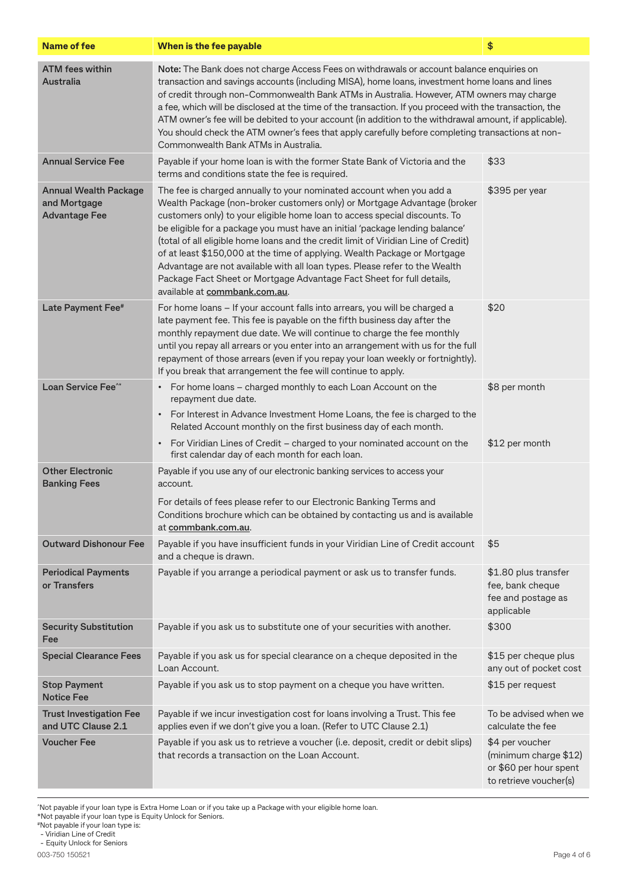| <b>Name of fee</b>                                                   | When is the fee payable                                                                                                                                                                                                                                                                                                                                                                                                                                                                                                                                                                                                                                                    | \$                                                                                           |
|----------------------------------------------------------------------|----------------------------------------------------------------------------------------------------------------------------------------------------------------------------------------------------------------------------------------------------------------------------------------------------------------------------------------------------------------------------------------------------------------------------------------------------------------------------------------------------------------------------------------------------------------------------------------------------------------------------------------------------------------------------|----------------------------------------------------------------------------------------------|
| <b>ATM fees within</b><br><b>Australia</b>                           | Note: The Bank does not charge Access Fees on withdrawals or account balance enquiries on<br>transaction and savings accounts (including MISA), home loans, investment home loans and lines<br>of credit through non-Commonwealth Bank ATMs in Australia. However, ATM owners may charge<br>a fee, which will be disclosed at the time of the transaction. If you proceed with the transaction, the<br>ATM owner's fee will be debited to your account (in addition to the withdrawal amount, if applicable).<br>You should check the ATM owner's fees that apply carefully before completing transactions at non-<br>Commonwealth Bank ATMs in Australia.                 |                                                                                              |
| <b>Annual Service Fee</b>                                            | Payable if your home loan is with the former State Bank of Victoria and the<br>\$33<br>terms and conditions state the fee is required.                                                                                                                                                                                                                                                                                                                                                                                                                                                                                                                                     |                                                                                              |
| <b>Annual Wealth Package</b><br>and Mortgage<br><b>Advantage Fee</b> | The fee is charged annually to your nominated account when you add a<br>Wealth Package (non-broker customers only) or Mortgage Advantage (broker<br>customers only) to your eligible home loan to access special discounts. To<br>be eligible for a package you must have an initial 'package lending balance'<br>(total of all eligible home loans and the credit limit of Viridian Line of Credit)<br>of at least \$150,000 at the time of applying. Wealth Package or Mortgage<br>Advantage are not available with all loan types. Please refer to the Wealth<br>Package Fact Sheet or Mortgage Advantage Fact Sheet for full details,<br>available at commbank.com.au. | \$395 per year                                                                               |
| Late Payment Fee <sup>#</sup>                                        | For home loans - If your account falls into arrears, you will be charged a<br>late payment fee. This fee is payable on the fifth business day after the<br>monthly repayment due date. We will continue to charge the fee monthly<br>until you repay all arrears or you enter into an arrangement with us for the full<br>repayment of those arrears (even if you repay your loan weekly or fortnightly).<br>If you break that arrangement the fee will continue to apply.                                                                                                                                                                                                 | \$20                                                                                         |
| <b>Loan Service Fee<sup>^*</sup></b>                                 | • For home loans - charged monthly to each Loan Account on the<br>repayment due date.<br>For Interest in Advance Investment Home Loans, the fee is charged to the<br>$\bullet$                                                                                                                                                                                                                                                                                                                                                                                                                                                                                             | \$8 per month                                                                                |
|                                                                      | Related Account monthly on the first business day of each month.                                                                                                                                                                                                                                                                                                                                                                                                                                                                                                                                                                                                           | \$12 per month                                                                               |
|                                                                      | For Viridian Lines of Credit - charged to your nominated account on the<br>$\bullet$<br>first calendar day of each month for each loan.                                                                                                                                                                                                                                                                                                                                                                                                                                                                                                                                    |                                                                                              |
| <b>Other Electronic</b><br><b>Banking Fees</b>                       | Payable if you use any of our electronic banking services to access your<br>account.                                                                                                                                                                                                                                                                                                                                                                                                                                                                                                                                                                                       |                                                                                              |
|                                                                      | For details of fees please refer to our Electronic Banking Terms and<br>Conditions brochure which can be obtained by contacting us and is available<br>at commbank.com.au.                                                                                                                                                                                                                                                                                                                                                                                                                                                                                                 |                                                                                              |
| <b>Outward Dishonour Fee</b>                                         | Payable if you have insufficient funds in your Viridian Line of Credit account<br>and a cheque is drawn.                                                                                                                                                                                                                                                                                                                                                                                                                                                                                                                                                                   | \$5                                                                                          |
| <b>Periodical Payments</b><br>or Transfers                           | Payable if you arrange a periodical payment or ask us to transfer funds.                                                                                                                                                                                                                                                                                                                                                                                                                                                                                                                                                                                                   | \$1.80 plus transfer<br>fee, bank cheque<br>fee and postage as<br>applicable                 |
| <b>Security Substitution</b><br>Fee                                  | Payable if you ask us to substitute one of your securities with another.                                                                                                                                                                                                                                                                                                                                                                                                                                                                                                                                                                                                   | \$300                                                                                        |
| <b>Special Clearance Fees</b>                                        | Payable if you ask us for special clearance on a cheque deposited in the<br>Loan Account.                                                                                                                                                                                                                                                                                                                                                                                                                                                                                                                                                                                  | \$15 per cheque plus<br>any out of pocket cost                                               |
| <b>Stop Payment</b><br><b>Notice Fee</b>                             | Payable if you ask us to stop payment on a cheque you have written.                                                                                                                                                                                                                                                                                                                                                                                                                                                                                                                                                                                                        | \$15 per request                                                                             |
| <b>Trust Investigation Fee</b><br>and UTC Clause 2.1                 | Payable if we incur investigation cost for loans involving a Trust. This fee<br>applies even if we don't give you a loan. (Refer to UTC Clause 2.1)                                                                                                                                                                                                                                                                                                                                                                                                                                                                                                                        | To be advised when we<br>calculate the fee                                                   |
| <b>Voucher Fee</b>                                                   | Payable if you ask us to retrieve a voucher (i.e. deposit, credit or debit slips)<br>that records a transaction on the Loan Account.                                                                                                                                                                                                                                                                                                                                                                                                                                                                                                                                       | \$4 per voucher<br>(minimum charge \$12)<br>or \$60 per hour spent<br>to retrieve voucher(s) |

^ Not payable if your loan type is Extra Home Loan or if you take up a Package with your eligible home loan.

\*Not payable if your loan type is Equity Unlock for Seniors.

- Viridian Line of Credit - Equity Unlock for Seniors

<sup>#</sup>Not payable if your loan type is: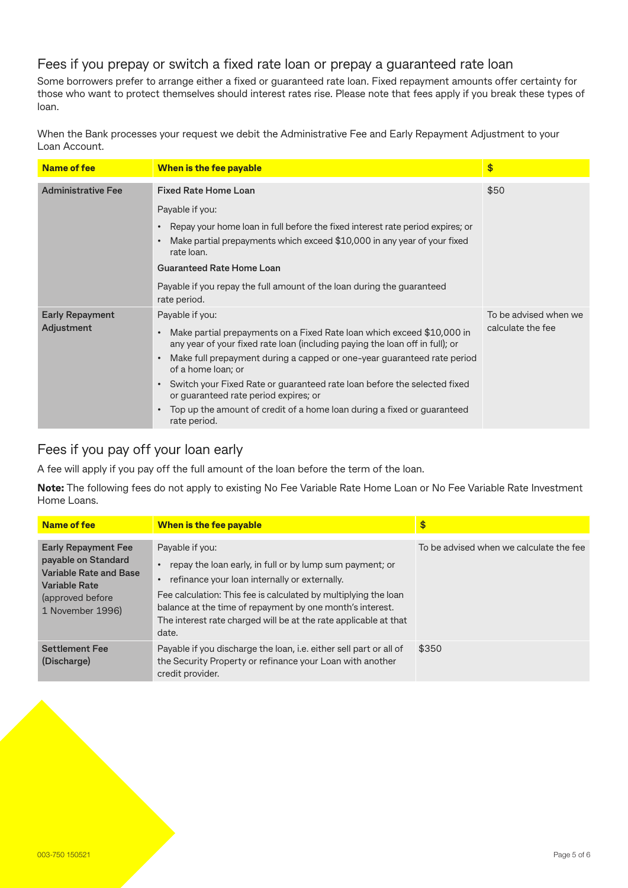#### Fees if you prepay or switch a fixed rate loan or prepay a guaranteed rate loan

Some borrowers prefer to arrange either a fixed or guaranteed rate loan. Fixed repayment amounts offer certainty for those who want to protect themselves should interest rates rise. Please note that fees apply if you break these types of loan.

When the Bank processes your request we debit the Administrative Fee and Early Repayment Adjustment to your Loan Account.

| <b>Name of fee</b>                   | When is the fee payable                                                                                                                                                                                                                                                                                                                                                                                                                                                                                                                        | \$                                         |
|--------------------------------------|------------------------------------------------------------------------------------------------------------------------------------------------------------------------------------------------------------------------------------------------------------------------------------------------------------------------------------------------------------------------------------------------------------------------------------------------------------------------------------------------------------------------------------------------|--------------------------------------------|
| <b>Administrative Fee</b>            | <b>Fixed Rate Home Loan</b><br>Payable if you:<br>Repay your home loan in full before the fixed interest rate period expires; or<br>$\bullet$<br>Make partial prepayments which exceed \$10,000 in any year of your fixed<br>$\bullet$<br>rate loan.<br><b>Guaranteed Rate Home Loan</b><br>Payable if you repay the full amount of the loan during the guaranteed<br>rate period.                                                                                                                                                             | \$50                                       |
| <b>Early Repayment</b><br>Adjustment | Payable if you:<br>Make partial prepayments on a Fixed Rate loan which exceed \$10,000 in<br>$\bullet$<br>any year of your fixed rate loan (including paying the loan off in full); or<br>Make full prepayment during a capped or one-year guaranteed rate period<br>$\bullet$<br>of a home loan; or<br>Switch your Fixed Rate or guaranteed rate loan before the selected fixed<br>$\bullet$<br>or guaranteed rate period expires; or<br>Top up the amount of credit of a home loan during a fixed or guaranteed<br>$\bullet$<br>rate period. | To be advised when we<br>calculate the fee |

#### Fees if you pay off your loan early

A fee will apply if you pay off the full amount of the loan before the term of the loan.

**Note:** The following fees do not apply to existing No Fee Variable Rate Home Loan or No Fee Variable Rate Investment Home Loans.

| Name of fee                                                                                                                                         | When is the fee payable                                                                                                                                                                                                                                                                                                                   | \$                                      |
|-----------------------------------------------------------------------------------------------------------------------------------------------------|-------------------------------------------------------------------------------------------------------------------------------------------------------------------------------------------------------------------------------------------------------------------------------------------------------------------------------------------|-----------------------------------------|
| <b>Early Repayment Fee</b><br>payable on Standard<br><b>Variable Rate and Base</b><br><b>Variable Rate</b><br>(approved before)<br>1 November 1996) | Payable if you:<br>repay the loan early, in full or by lump sum payment; or<br>refinance your loan internally or externally.<br>Fee calculation: This fee is calculated by multiplying the loan<br>balance at the time of repayment by one month's interest.<br>The interest rate charged will be at the rate applicable at that<br>date. | To be advised when we calculate the fee |
| <b>Settlement Fee</b><br>(Discharge)                                                                                                                | Payable if you discharge the loan, i.e. either sell part or all of<br>the Security Property or refinance your Loan with another<br>credit provider.                                                                                                                                                                                       | \$350                                   |